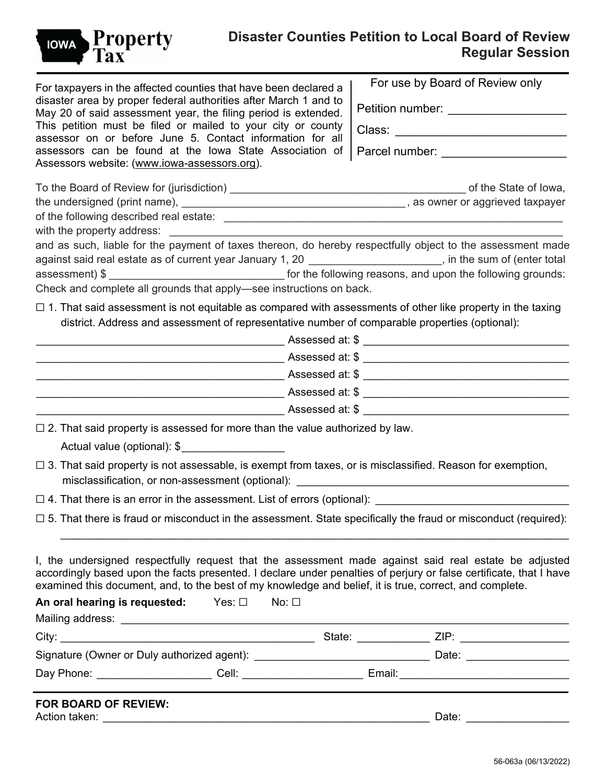| <b>IOWA</b><br>1 2 X | <b>Property</b> |
|----------------------|-----------------|
|----------------------|-----------------|

# **Disaster Counties Petition to Local Board of Review Regular Session**

| For taxpayers in the affected counties that have been declared a<br>disaster area by proper federal authorities after March 1 and to<br>May 20 of said assessment year, the filing period is extended.<br>This petition must be filed or mailed to your city or county<br>assessor on or before June 5. Contact information for all<br>assessors can be found at the Iowa State Association of<br>Assessors website: (www.iowa-assessors.org). | For use by Board of Review only<br>Petition number: ____________________<br>Parcel number: ______________________ |
|------------------------------------------------------------------------------------------------------------------------------------------------------------------------------------------------------------------------------------------------------------------------------------------------------------------------------------------------------------------------------------------------------------------------------------------------|-------------------------------------------------------------------------------------------------------------------|
|                                                                                                                                                                                                                                                                                                                                                                                                                                                |                                                                                                                   |
|                                                                                                                                                                                                                                                                                                                                                                                                                                                |                                                                                                                   |
| and as such, liable for the payment of taxes thereon, do hereby respectfully object to the assessment made                                                                                                                                                                                                                                                                                                                                     |                                                                                                                   |
| against said real estate as of current year January 1, 20 ______________________, in the sum of (enter total                                                                                                                                                                                                                                                                                                                                   |                                                                                                                   |
|                                                                                                                                                                                                                                                                                                                                                                                                                                                |                                                                                                                   |
| Check and complete all grounds that apply-see instructions on back.                                                                                                                                                                                                                                                                                                                                                                            |                                                                                                                   |
| $\Box$ 1. That said assessment is not equitable as compared with assessments of other like property in the taxing<br>district. Address and assessment of representative number of comparable properties (optional):                                                                                                                                                                                                                            |                                                                                                                   |
|                                                                                                                                                                                                                                                                                                                                                                                                                                                |                                                                                                                   |
|                                                                                                                                                                                                                                                                                                                                                                                                                                                |                                                                                                                   |
|                                                                                                                                                                                                                                                                                                                                                                                                                                                |                                                                                                                   |
|                                                                                                                                                                                                                                                                                                                                                                                                                                                |                                                                                                                   |
| $\Box$ 2. That said property is assessed for more than the value authorized by law.                                                                                                                                                                                                                                                                                                                                                            |                                                                                                                   |
| Actual value (optional): \$                                                                                                                                                                                                                                                                                                                                                                                                                    |                                                                                                                   |
| $\Box$ 3. That said property is not assessable, is exempt from taxes, or is misclassified. Reason for exemption,<br>misclassification, or non-assessment (optional): _______________________________                                                                                                                                                                                                                                           |                                                                                                                   |
| $\Box$ 4. That there is an error in the assessment. List of errors (optional): $\Box$                                                                                                                                                                                                                                                                                                                                                          |                                                                                                                   |
| □ 5. That there is fraud or misconduct in the assessment. State specifically the fraud or misconduct (required):                                                                                                                                                                                                                                                                                                                               |                                                                                                                   |
| I, the undersigned respectfully request that the assessment made against said real estate be adjusted<br>accordingly based upon the facts presented. I declare under penalties of perjury or false certificate, that I have<br>examined this document, and, to the best of my knowledge and belief, it is true, correct, and complete.                                                                                                         |                                                                                                                   |
| An oral hearing is requested: Yes: $\square$ No: $\square$                                                                                                                                                                                                                                                                                                                                                                                     |                                                                                                                   |
|                                                                                                                                                                                                                                                                                                                                                                                                                                                |                                                                                                                   |
|                                                                                                                                                                                                                                                                                                                                                                                                                                                |                                                                                                                   |
|                                                                                                                                                                                                                                                                                                                                                                                                                                                |                                                                                                                   |
| Day Phone: _______________________Cell: __________________________Email: ________________________________                                                                                                                                                                                                                                                                                                                                      |                                                                                                                   |
| <b>FOR BOARD OF REVIEW:</b>                                                                                                                                                                                                                                                                                                                                                                                                                    |                                                                                                                   |